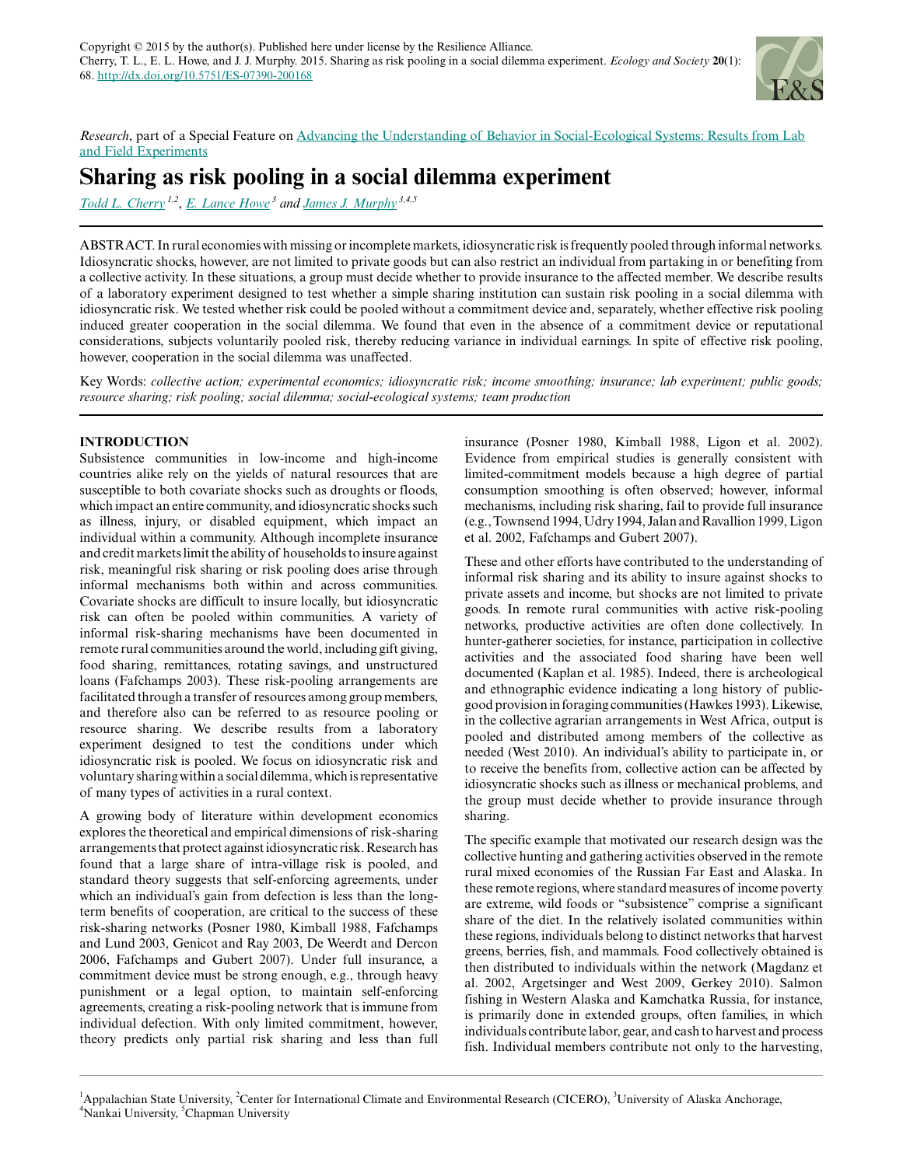

*Research*, part of a Special Feature on [Advancing the Understanding of Behavior in Social-Ecological Systems: Results from Lab](http://www.ecologyandsociety.org/viewissue.php?sf=102) [and Field Experiments](http://www.ecologyandsociety.org/viewissue.php?sf=102)

# **Sharing as risk pooling in a social dilemma experiment**

*[Todd L. Cherry](mailto:cherrytl@appstate.edu) 1,2* , *[E. Lance Howe](mailto:elhowe@uaa.alaska.edu)<sup>3</sup> and [James J. Murphy](mailto:murphy@uaa.alaska.edu) 3,4,5*

ABSTRACT. In rural economies with missing or incomplete markets, idiosyncratic risk is frequently pooled through informal networks. Idiosyncratic shocks, however, are not limited to private goods but can also restrict an individual from partaking in or benefiting from a collective activity. In these situations, a group must decide whether to provide insurance to the affected member. We describe results of a laboratory experiment designed to test whether a simple sharing institution can sustain risk pooling in a social dilemma with idiosyncratic risk. We tested whether risk could be pooled without a commitment device and, separately, whether effective risk pooling induced greater cooperation in the social dilemma. We found that even in the absence of a commitment device or reputational considerations, subjects voluntarily pooled risk, thereby reducing variance in individual earnings. In spite of effective risk pooling, however, cooperation in the social dilemma was unaffected.

Key Words: *collective action; experimental economics; idiosyncratic risk; income smoothing; insurance; lab experiment; public goods; resource sharing; risk pooling; social dilemma; social-ecological systems; team production*

# **INTRODUCTION**

Subsistence communities in low-income and high-income countries alike rely on the yields of natural resources that are susceptible to both covariate shocks such as droughts or floods, which impact an entire community, and idiosyncratic shocks such as illness, injury, or disabled equipment, which impact an individual within a community. Although incomplete insurance and credit markets limit the ability of households to insure against risk, meaningful risk sharing or risk pooling does arise through informal mechanisms both within and across communities. Covariate shocks are difficult to insure locally, but idiosyncratic risk can often be pooled within communities. A variety of informal risk-sharing mechanisms have been documented in remote rural communities around the world, including gift giving, food sharing, remittances, rotating savings, and unstructured loans (Fafchamps 2003). These risk-pooling arrangements are facilitated through a transfer of resources among group members, and therefore also can be referred to as resource pooling or resource sharing. We describe results from a laboratory experiment designed to test the conditions under which idiosyncratic risk is pooled. We focus on idiosyncratic risk and voluntary sharing within a social dilemma, which is representative of many types of activities in a rural context.

A growing body of literature within development economics explores the theoretical and empirical dimensions of risk-sharing arrangements that protect against idiosyncratic risk. Research has found that a large share of intra-village risk is pooled, and standard theory suggests that self-enforcing agreements, under which an individual's gain from defection is less than the longterm benefits of cooperation, are critical to the success of these risk-sharing networks (Posner 1980, Kimball 1988, Fafchamps and Lund 2003, Genicot and Ray 2003, De Weerdt and Dercon 2006, Fafchamps and Gubert 2007). Under full insurance, a commitment device must be strong enough, e.g., through heavy punishment or a legal option, to maintain self-enforcing agreements, creating a risk-pooling network that is immune from individual defection. With only limited commitment, however, theory predicts only partial risk sharing and less than full

insurance (Posner 1980, Kimball 1988, Ligon et al. 2002). Evidence from empirical studies is generally consistent with limited-commitment models because a high degree of partial consumption smoothing is often observed; however, informal mechanisms, including risk sharing, fail to provide full insurance (e.g., Townsend 1994, Udry 1994, Jalan and Ravallion 1999, Ligon et al. 2002, Fafchamps and Gubert 2007).

These and other efforts have contributed to the understanding of informal risk sharing and its ability to insure against shocks to private assets and income, but shocks are not limited to private goods. In remote rural communities with active risk-pooling networks, productive activities are often done collectively. In hunter-gatherer societies, for instance, participation in collective activities and the associated food sharing have been well documented (Kaplan et al. 1985). Indeed, there is archeological and ethnographic evidence indicating a long history of publicgood provision in foraging communities (Hawkes 1993). Likewise, in the collective agrarian arrangements in West Africa, output is pooled and distributed among members of the collective as needed (West 2010). An individual's ability to participate in, or to receive the benefits from, collective action can be affected by idiosyncratic shocks such as illness or mechanical problems, and the group must decide whether to provide insurance through sharing.

The specific example that motivated our research design was the collective hunting and gathering activities observed in the remote rural mixed economies of the Russian Far East and Alaska. In these remote regions, where standard measures of income poverty are extreme, wild foods or "subsistence" comprise a significant share of the diet. In the relatively isolated communities within these regions, individuals belong to distinct networks that harvest greens, berries, fish, and mammals. Food collectively obtained is then distributed to individuals within the network (Magdanz et al. 2002, Argetsinger and West 2009, Gerkey 2010). Salmon fishing in Western Alaska and Kamchatka Russia, for instance, is primarily done in extended groups, often families, in which individuals contribute labor, gear, and cash to harvest and process fish. Individual members contribute not only to the harvesting,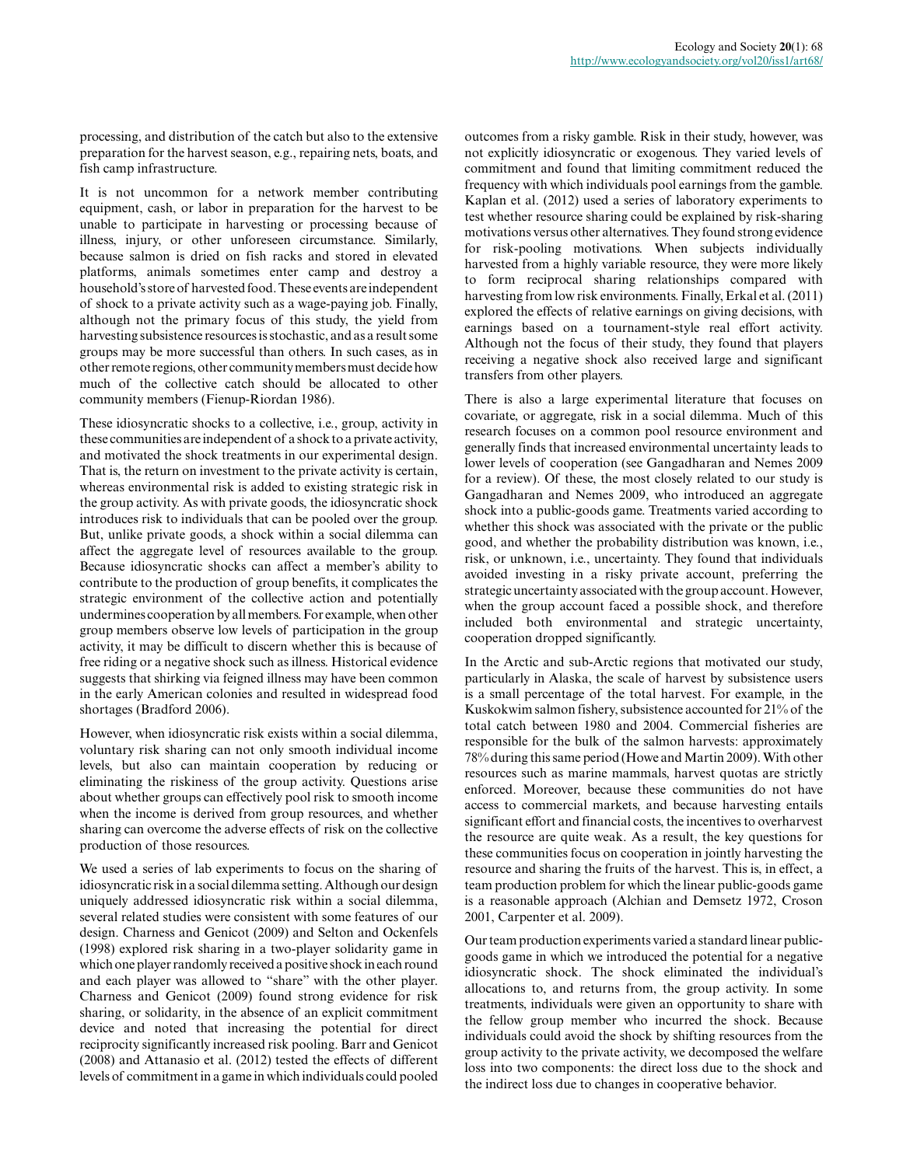processing, and distribution of the catch but also to the extensive preparation for the harvest season, e.g., repairing nets, boats, and fish camp infrastructure.

It is not uncommon for a network member contributing equipment, cash, or labor in preparation for the harvest to be unable to participate in harvesting or processing because of illness, injury, or other unforeseen circumstance. Similarly, because salmon is dried on fish racks and stored in elevated platforms, animals sometimes enter camp and destroy a household's store of harvested food. These events are independent of shock to a private activity such as a wage-paying job. Finally, although not the primary focus of this study, the yield from harvesting subsistence resources is stochastic, and as a result some groups may be more successful than others. In such cases, as in other remote regions, other community members must decide how much of the collective catch should be allocated to other community members (Fienup-Riordan 1986).

These idiosyncratic shocks to a collective, i.e., group, activity in these communities are independent of a shock to a private activity, and motivated the shock treatments in our experimental design. That is, the return on investment to the private activity is certain, whereas environmental risk is added to existing strategic risk in the group activity. As with private goods, the idiosyncratic shock introduces risk to individuals that can be pooled over the group. But, unlike private goods, a shock within a social dilemma can affect the aggregate level of resources available to the group. Because idiosyncratic shocks can affect a member's ability to contribute to the production of group benefits, it complicates the strategic environment of the collective action and potentially undermines cooperation by all members. For example, when other group members observe low levels of participation in the group activity, it may be difficult to discern whether this is because of free riding or a negative shock such as illness. Historical evidence suggests that shirking via feigned illness may have been common in the early American colonies and resulted in widespread food shortages (Bradford 2006).

However, when idiosyncratic risk exists within a social dilemma, voluntary risk sharing can not only smooth individual income levels, but also can maintain cooperation by reducing or eliminating the riskiness of the group activity. Questions arise about whether groups can effectively pool risk to smooth income when the income is derived from group resources, and whether sharing can overcome the adverse effects of risk on the collective production of those resources.

We used a series of lab experiments to focus on the sharing of idiosyncratic risk in a social dilemma setting. Although our design uniquely addressed idiosyncratic risk within a social dilemma, several related studies were consistent with some features of our design. Charness and Genicot (2009) and Selton and Ockenfels (1998) explored risk sharing in a two-player solidarity game in which one player randomly received a positive shock in each round and each player was allowed to "share" with the other player. Charness and Genicot (2009) found strong evidence for risk sharing, or solidarity, in the absence of an explicit commitment device and noted that increasing the potential for direct reciprocity significantly increased risk pooling. Barr and Genicot (2008) and Attanasio et al. (2012) tested the effects of different levels of commitment in a game in which individuals could pooled

outcomes from a risky gamble. Risk in their study, however, was not explicitly idiosyncratic or exogenous. They varied levels of commitment and found that limiting commitment reduced the frequency with which individuals pool earnings from the gamble. Kaplan et al. (2012) used a series of laboratory experiments to test whether resource sharing could be explained by risk-sharing motivations versus other alternatives. They found strong evidence for risk-pooling motivations. When subjects individually harvested from a highly variable resource, they were more likely to form reciprocal sharing relationships compared with harvesting from low risk environments. Finally, Erkal et al. (2011) explored the effects of relative earnings on giving decisions, with earnings based on a tournament-style real effort activity. Although not the focus of their study, they found that players receiving a negative shock also received large and significant transfers from other players.

There is also a large experimental literature that focuses on covariate, or aggregate, risk in a social dilemma. Much of this research focuses on a common pool resource environment and generally finds that increased environmental uncertainty leads to lower levels of cooperation (see Gangadharan and Nemes 2009 for a review). Of these, the most closely related to our study is Gangadharan and Nemes 2009, who introduced an aggregate shock into a public-goods game. Treatments varied according to whether this shock was associated with the private or the public good, and whether the probability distribution was known, i.e., risk, or unknown, i.e., uncertainty. They found that individuals avoided investing in a risky private account, preferring the strategic uncertainty associated with the group account. However, when the group account faced a possible shock, and therefore included both environmental and strategic uncertainty, cooperation dropped significantly.

In the Arctic and sub-Arctic regions that motivated our study, particularly in Alaska, the scale of harvest by subsistence users is a small percentage of the total harvest. For example, in the Kuskokwim salmon fishery, subsistence accounted for 21% of the total catch between 1980 and 2004. Commercial fisheries are responsible for the bulk of the salmon harvests: approximately 78% during this same period (Howe and Martin 2009). With other resources such as marine mammals, harvest quotas are strictly enforced. Moreover, because these communities do not have access to commercial markets, and because harvesting entails significant effort and financial costs, the incentives to overharvest the resource are quite weak. As a result, the key questions for these communities focus on cooperation in jointly harvesting the resource and sharing the fruits of the harvest. This is, in effect, a team production problem for which the linear public-goods game is a reasonable approach (Alchian and Demsetz 1972, Croson 2001, Carpenter et al. 2009).

Our team production experiments varied a standard linear publicgoods game in which we introduced the potential for a negative idiosyncratic shock. The shock eliminated the individual's allocations to, and returns from, the group activity. In some treatments, individuals were given an opportunity to share with the fellow group member who incurred the shock. Because individuals could avoid the shock by shifting resources from the group activity to the private activity, we decomposed the welfare loss into two components: the direct loss due to the shock and the indirect loss due to changes in cooperative behavior.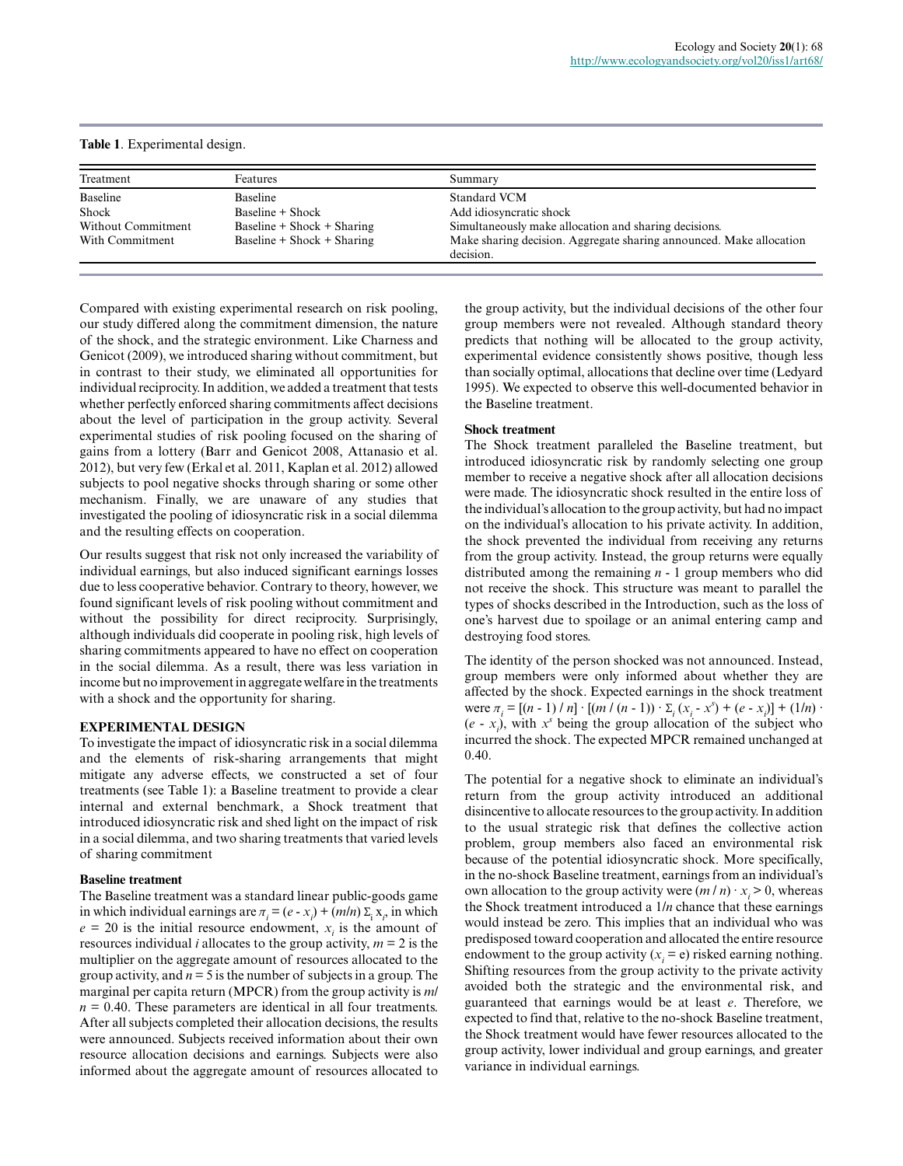| Table 1. Experimental design. |  |
|-------------------------------|--|
|-------------------------------|--|

| Treatment          | Features                       | Summary                                                                          |
|--------------------|--------------------------------|----------------------------------------------------------------------------------|
| Baseline           | <b>Baseline</b>                | Standard VCM                                                                     |
| Shock              | Baseline + Shock               | Add idiosyncratic shock                                                          |
| Without Commitment | Baseline $+$ Shock $+$ Sharing | Simultaneously make allocation and sharing decisions.                            |
| With Commitment    | Baseline $+$ Shock $+$ Sharing | Make sharing decision. Aggregate sharing announced. Make allocation<br>decision. |

Compared with existing experimental research on risk pooling, our study differed along the commitment dimension, the nature of the shock, and the strategic environment. Like Charness and Genicot (2009), we introduced sharing without commitment, but in contrast to their study, we eliminated all opportunities for individual reciprocity. In addition, we added a treatment that tests whether perfectly enforced sharing commitments affect decisions about the level of participation in the group activity. Several experimental studies of risk pooling focused on the sharing of gains from a lottery (Barr and Genicot 2008, Attanasio et al. 2012), but very few (Erkal et al. 2011, Kaplan et al. 2012) allowed subjects to pool negative shocks through sharing or some other mechanism. Finally, we are unaware of any studies that investigated the pooling of idiosyncratic risk in a social dilemma and the resulting effects on cooperation.

Our results suggest that risk not only increased the variability of individual earnings, but also induced significant earnings losses due to less cooperative behavior. Contrary to theory, however, we found significant levels of risk pooling without commitment and without the possibility for direct reciprocity. Surprisingly, although individuals did cooperate in pooling risk, high levels of sharing commitments appeared to have no effect on cooperation in the social dilemma. As a result, there was less variation in income but no improvement in aggregate welfare in the treatments with a shock and the opportunity for sharing.

## **EXPERIMENTAL DESIGN**

To investigate the impact of idiosyncratic risk in a social dilemma and the elements of risk-sharing arrangements that might mitigate any adverse effects, we constructed a set of four treatments (see Table 1): a Baseline treatment to provide a clear internal and external benchmark, a Shock treatment that introduced idiosyncratic risk and shed light on the impact of risk in a social dilemma, and two sharing treatments that varied levels of sharing commitment

# **Baseline treatment**

The Baseline treatment was a standard linear public-goods game in which individual earnings are  $\pi_i = (e - x_i) + (m/n) \Sigma_i x_i$ , in which  $e = 20$  is the initial resource endowment,  $x_i$  is the amount of resources individual *i* allocates to the group activity,  $m = 2$  is the multiplier on the aggregate amount of resources allocated to the group activity, and  $n = 5$  is the number of subjects in a group. The marginal per capita return (MPCR) from the group activity is *m/*  $n = 0.40$ . These parameters are identical in all four treatments. After all subjects completed their allocation decisions, the results were announced. Subjects received information about their own resource allocation decisions and earnings. Subjects were also informed about the aggregate amount of resources allocated to

the group activity, but the individual decisions of the other four group members were not revealed. Although standard theory predicts that nothing will be allocated to the group activity, experimental evidence consistently shows positive, though less than socially optimal, allocations that decline over time (Ledyard 1995). We expected to observe this well-documented behavior in the Baseline treatment.

## **Shock treatment**

The Shock treatment paralleled the Baseline treatment, but introduced idiosyncratic risk by randomly selecting one group member to receive a negative shock after all allocation decisions were made. The idiosyncratic shock resulted in the entire loss of the individual's allocation to the group activity, but had no impact on the individual's allocation to his private activity. In addition, the shock prevented the individual from receiving any returns from the group activity. Instead, the group returns were equally distributed among the remaining *n* - 1 group members who did not receive the shock. This structure was meant to parallel the types of shocks described in the Introduction, such as the loss of one's harvest due to spoilage or an animal entering camp and destroying food stores.

The identity of the person shocked was not announced. Instead, group members were only informed about whether they are affected by the shock. Expected earnings in the shock treatment were  $π<sub>i</sub> = [(n - 1) / n] · [(m / (n - 1)) · Σ<sub>i</sub> (x<sub>i</sub> - x<sup>s</sup>) + (e - x<sub>i</sub>)] + (1/n) ·$  $(e - x_i)$ , with  $x<sup>s</sup>$  being the group allocation of the subject who incurred the shock. The expected MPCR remained unchanged at 0.40.

The potential for a negative shock to eliminate an individual's return from the group activity introduced an additional disincentive to allocate resources to the group activity. In addition to the usual strategic risk that defines the collective action problem, group members also faced an environmental risk because of the potential idiosyncratic shock. More specifically, in the no-shock Baseline treatment, earnings from an individual's own allocation to the group activity were  $(m/n) \cdot x_i > 0$ , whereas the Shock treatment introduced a 1/*n* chance that these earnings would instead be zero. This implies that an individual who was predisposed toward cooperation and allocated the entire resource endowment to the group activity  $(x<sub>i</sub> = e)$  risked earning nothing. Shifting resources from the group activity to the private activity avoided both the strategic and the environmental risk, and guaranteed that earnings would be at least *e*. Therefore, we expected to find that, relative to the no-shock Baseline treatment, the Shock treatment would have fewer resources allocated to the group activity, lower individual and group earnings, and greater variance in individual earnings.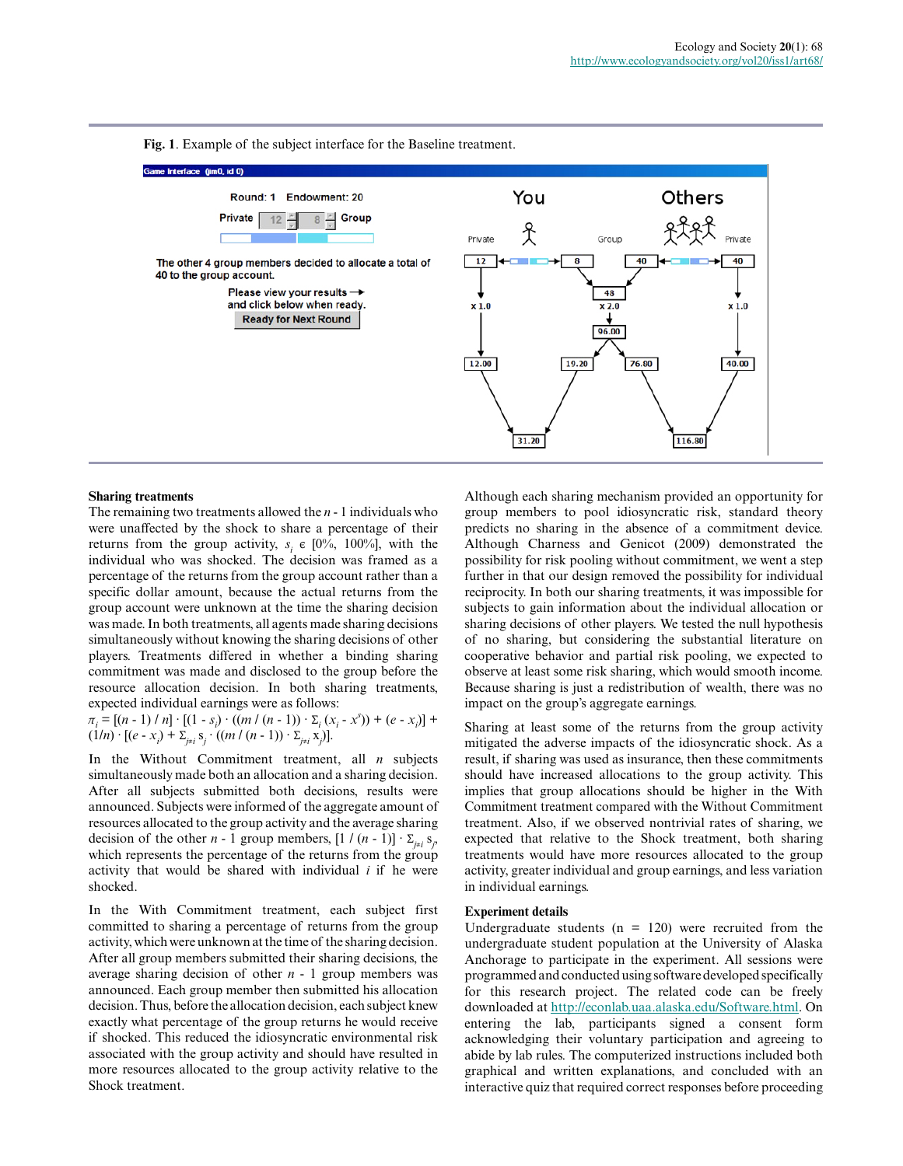

**Fig. 1**. Example of the subject interface for the Baseline treatment.

## **Sharing treatments**

The remaining two treatments allowed the *n* - 1 individuals who were unaffected by the shock to share a percentage of their returns from the group activity,  $s_i \in [0\%, 100\%]$ , with the individual who was shocked. The decision was framed as a percentage of the returns from the group account rather than a specific dollar amount, because the actual returns from the group account were unknown at the time the sharing decision was made. In both treatments, all agents made sharing decisions simultaneously without knowing the sharing decisions of other players. Treatments differed in whether a binding sharing commitment was made and disclosed to the group before the resource allocation decision. In both sharing treatments, expected individual earnings were as follows:

 $\pi_i = [(n-1)/n] \cdot [(1-s_i) \cdot ((m/(n-1)) \cdot \Sigma_i (x_i - x^s)) + (e - x_i)] +$  $(1/n) \cdot [(e - x_i) + \sum_{j \neq i} s_j \cdot ((m / (n - 1)) \cdot \sum_{j \neq i} x_j)].$ 

In the Without Commitment treatment, all *n* subjects simultaneously made both an allocation and a sharing decision. After all subjects submitted both decisions, results were announced. Subjects were informed of the aggregate amount of resources allocated to the group activity and the average sharing decision of the other *n* - 1 group members,  $[1 / (n - 1)] \cdot \sum_{j \neq i} s_j$ which represents the percentage of the returns from the group activity that would be shared with individual *i* if he were shocked.

In the With Commitment treatment, each subject first committed to sharing a percentage of returns from the group activity, which were unknown at the time of the sharing decision. After all group members submitted their sharing decisions, the average sharing decision of other *n* - 1 group members was announced. Each group member then submitted his allocation decision. Thus, before the allocation decision, each subject knew exactly what percentage of the group returns he would receive if shocked. This reduced the idiosyncratic environmental risk associated with the group activity and should have resulted in more resources allocated to the group activity relative to the Shock treatment.

Although each sharing mechanism provided an opportunity for group members to pool idiosyncratic risk, standard theory predicts no sharing in the absence of a commitment device. Although Charness and Genicot (2009) demonstrated the possibility for risk pooling without commitment, we went a step further in that our design removed the possibility for individual reciprocity. In both our sharing treatments, it was impossible for subjects to gain information about the individual allocation or sharing decisions of other players. We tested the null hypothesis of no sharing, but considering the substantial literature on cooperative behavior and partial risk pooling, we expected to observe at least some risk sharing, which would smooth income. Because sharing is just a redistribution of wealth, there was no impact on the group's aggregate earnings.

Sharing at least some of the returns from the group activity mitigated the adverse impacts of the idiosyncratic shock. As a result, if sharing was used as insurance, then these commitments should have increased allocations to the group activity. This implies that group allocations should be higher in the With Commitment treatment compared with the Without Commitment treatment. Also, if we observed nontrivial rates of sharing, we expected that relative to the Shock treatment, both sharing treatments would have more resources allocated to the group activity, greater individual and group earnings, and less variation in individual earnings.

#### **Experiment details**

Undergraduate students ( $n = 120$ ) were recruited from the undergraduate student population at the University of Alaska Anchorage to participate in the experiment. All sessions were programmed and conducted using software developed specifically for this research project. The related code can be freely downloaded at <http://econlab.uaa.alaska.edu/Software.html>. On entering the lab, participants signed a consent form acknowledging their voluntary participation and agreeing to abide by lab rules. The computerized instructions included both graphical and written explanations, and concluded with an interactive quiz that required correct responses before proceeding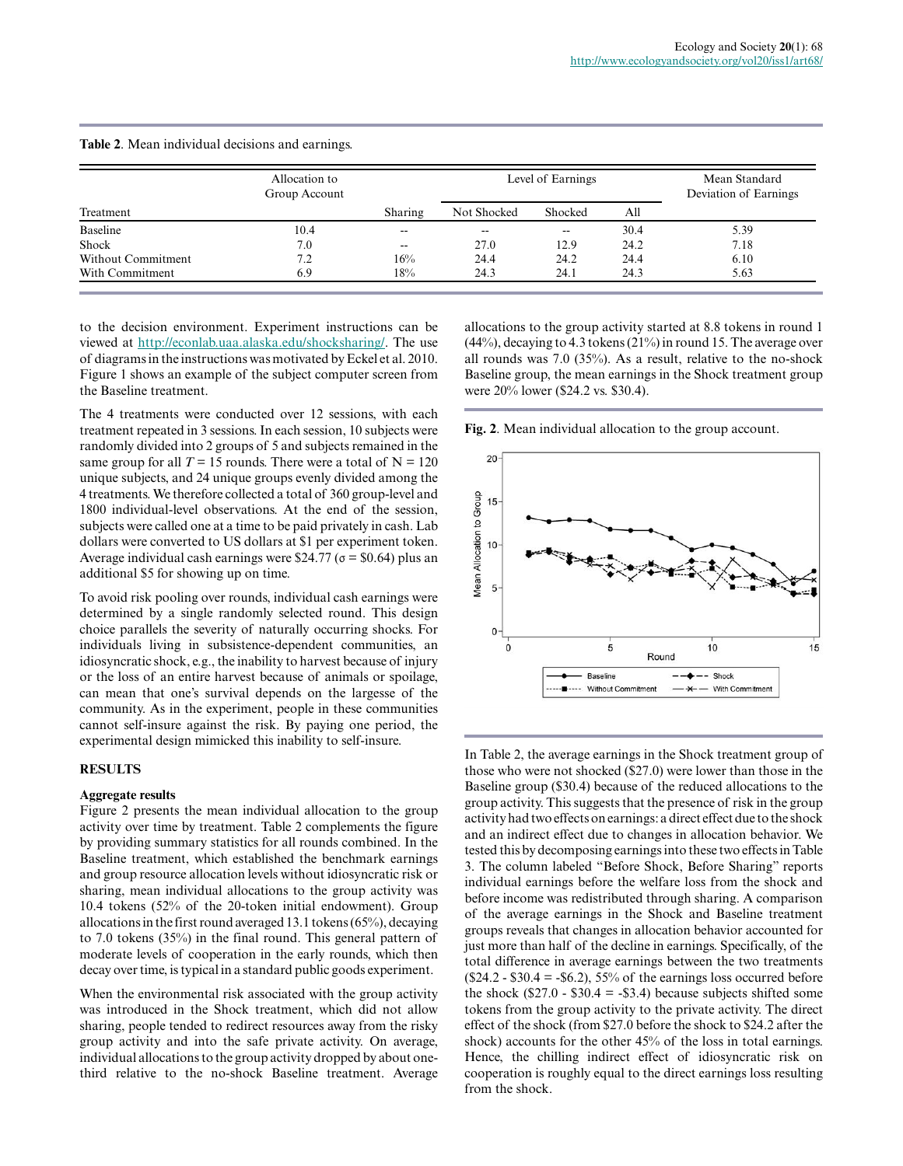|                    | Allocation to<br>Group Account |         | Level of Earnings | Mean Standard<br>Deviation of Earnings |      |      |  |
|--------------------|--------------------------------|---------|-------------------|----------------------------------------|------|------|--|
| Treatment          |                                | Sharing | Not Shocked       | Shocked                                | All  |      |  |
| Baseline           | 10.4                           | --      |                   | $- -$                                  | 30.4 | 5.39 |  |
| Shock              | 7.0                            | --      | 27.0              | 12.9                                   | 24.2 | 7.18 |  |
| Without Commitment | 7.2                            | 16%     | 24.4              | 24.2                                   | 24.4 | 6.10 |  |
| With Commitment    | 6.9                            | 18%     | 24.3              | 24.1                                   | 24.3 | 5.63 |  |

## **Table 2**. Mean individual decisions and earnings.

to the decision environment. Experiment instructions can be viewed at [http://econlab.uaa.alaska.edu/shocksharing/.](http://econlab.uaa.alaska.edu/shocksharing/) The use of diagrams in the instructions was motivated by Eckel et al. 2010. Figure 1 shows an example of the subject computer screen from the Baseline treatment.

The 4 treatments were conducted over 12 sessions, with each treatment repeated in 3 sessions. In each session, 10 subjects were randomly divided into 2 groups of 5 and subjects remained in the same group for all  $T = 15$  rounds. There were a total of  $N = 120$ unique subjects, and 24 unique groups evenly divided among the 4 treatments. We therefore collected a total of 360 group-level and 1800 individual-level observations. At the end of the session, subjects were called one at a time to be paid privately in cash. Lab dollars were converted to US dollars at \$1 per experiment token. Average individual cash earnings were \$24.77 ( $\sigma$  = \$0.64) plus an additional \$5 for showing up on time.

To avoid risk pooling over rounds, individual cash earnings were determined by a single randomly selected round. This design choice parallels the severity of naturally occurring shocks. For individuals living in subsistence-dependent communities, an idiosyncratic shock, e.g., the inability to harvest because of injury or the loss of an entire harvest because of animals or spoilage, can mean that one's survival depends on the largesse of the community. As in the experiment, people in these communities cannot self-insure against the risk. By paying one period, the experimental design mimicked this inability to self-insure.

#### **RESULTS**

#### **Aggregate results**

Figure 2 presents the mean individual allocation to the group activity over time by treatment. Table 2 complements the figure by providing summary statistics for all rounds combined. In the Baseline treatment, which established the benchmark earnings and group resource allocation levels without idiosyncratic risk or sharing, mean individual allocations to the group activity was 10.4 tokens (52% of the 20-token initial endowment). Group allocations in the first round averaged 13.1 tokens (65%), decaying to 7.0 tokens (35%) in the final round. This general pattern of moderate levels of cooperation in the early rounds, which then decay over time, is typical in a standard public goods experiment.

When the environmental risk associated with the group activity was introduced in the Shock treatment, which did not allow sharing, people tended to redirect resources away from the risky group activity and into the safe private activity. On average, individual allocations to the group activity dropped by about onethird relative to the no-shock Baseline treatment. Average allocations to the group activity started at 8.8 tokens in round 1 (44%), decaying to 4.3 tokens (21%) in round 15. The average over all rounds was 7.0 (35%). As a result, relative to the no-shock Baseline group, the mean earnings in the Shock treatment group were 20% lower (\$24.2 vs. \$30.4).

**Fig. 2**. Mean individual allocation to the group account.



In Table 2, the average earnings in the Shock treatment group of those who were not shocked (\$27.0) were lower than those in the Baseline group (\$30.4) because of the reduced allocations to the group activity. This suggests that the presence of risk in the group activity had two effects on earnings: a direct effect due to the shock and an indirect effect due to changes in allocation behavior. We tested this by decomposing earnings into these two effects in Table 3. The column labeled "Before Shock, Before Sharing" reports individual earnings before the welfare loss from the shock and before income was redistributed through sharing. A comparison of the average earnings in the Shock and Baseline treatment groups reveals that changes in allocation behavior accounted for just more than half of the decline in earnings. Specifically, of the total difference in average earnings between the two treatments  $($24.2 - $30.4 = -$6.2), 55\%$  of the earnings loss occurred before the shock  $(\$27.0 - \$30.4 = -\$3.4)$  because subjects shifted some tokens from the group activity to the private activity. The direct effect of the shock (from \$27.0 before the shock to \$24.2 after the shock) accounts for the other 45% of the loss in total earnings. Hence, the chilling indirect effect of idiosyncratic risk on cooperation is roughly equal to the direct earnings loss resulting from the shock.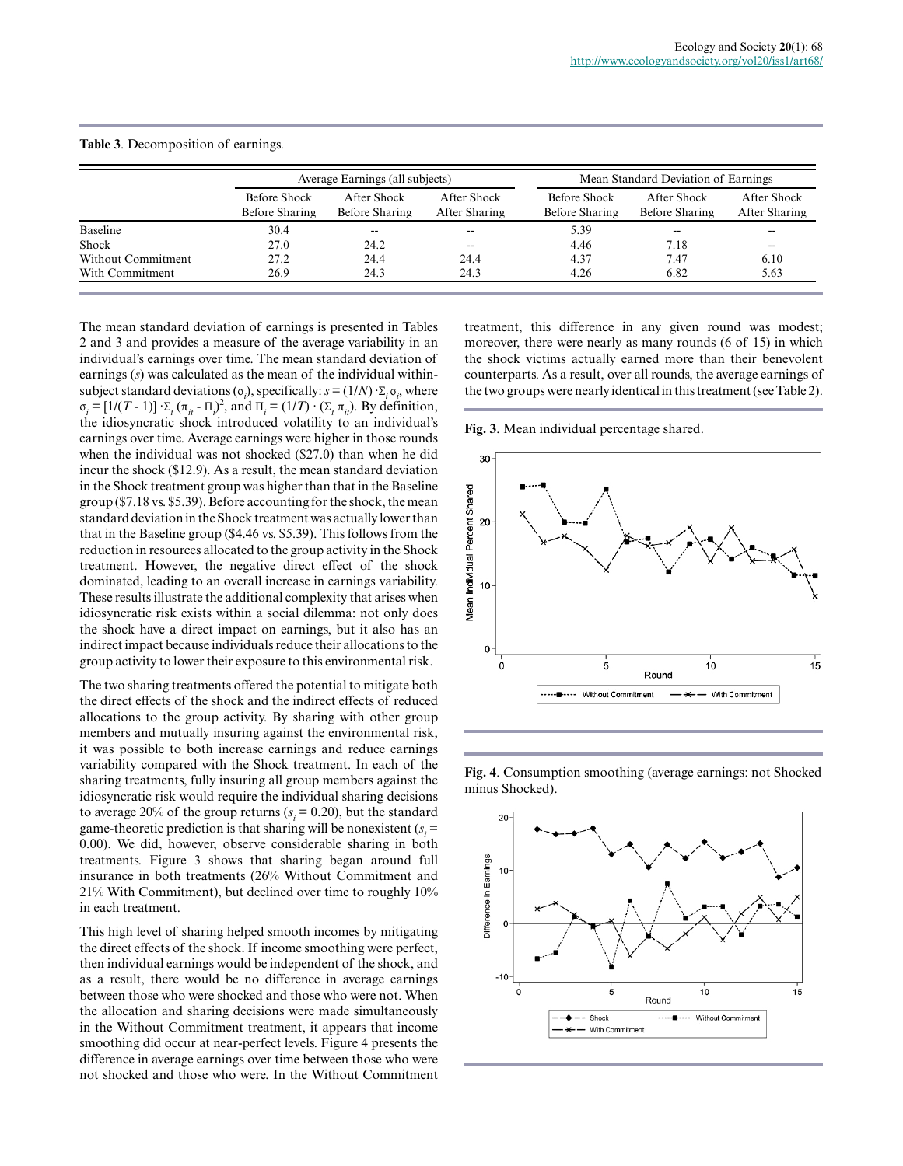|                    |                                | Average Earnings (all subjects) |                              |                                | Mean Standard Deviation of Earnings |                              |  |
|--------------------|--------------------------------|---------------------------------|------------------------------|--------------------------------|-------------------------------------|------------------------------|--|
|                    | Before Shock<br>Before Sharing | After Shock<br>Before Sharing   | After Shock<br>After Sharing | Before Shock<br>Before Sharing | After Shock<br>Before Sharing       | After Shock<br>After Sharing |  |
| Baseline           | 30.4                           | $- -$                           | $- -$                        | 5.39                           | $- -$                               | --                           |  |
| Shock              | 27.0                           | 24.2                            | $-$                          | 4.46                           | 7.18                                | $\sim$ $\sim$                |  |
| Without Commitment | 27.2                           | 24.4                            | 24.4                         | 4.37                           | 7.47                                | 6.10                         |  |
| With Commitment    | 26.9                           | 24.3                            | 24.3                         | 4.26                           | 6.82                                | 5.63                         |  |

## **Table 3**. Decomposition of earnings.

The mean standard deviation of earnings is presented in Tables 2 and 3 and provides a measure of the average variability in an individual's earnings over time. The mean standard deviation of earnings (*s*) was calculated as the mean of the individual withinsubject standard deviations ( $\sigma_i$ ), specifically:  $s = (1/N) \cdot \Sigma_i \sigma_i$ , where  $\sigma_i = [1/(T-1)] \cdot \Sigma_t (\pi_{it} - \Pi_i)^2$ , and  $\Pi_i = (1/T) \cdot (\Sigma_t \pi_{it})$ . By definition, the idiosyncratic shock introduced volatility to an individual's earnings over time. Average earnings were higher in those rounds when the individual was not shocked (\$27.0) than when he did incur the shock (\$12.9). As a result, the mean standard deviation in the Shock treatment group was higher than that in the Baseline group (\$7.18 vs. \$5.39). Before accounting for the shock, the mean standard deviation in the Shock treatment was actually lower than that in the Baseline group (\$4.46 vs. \$5.39). This follows from the reduction in resources allocated to the group activity in the Shock treatment. However, the negative direct effect of the shock dominated, leading to an overall increase in earnings variability. These results illustrate the additional complexity that arises when idiosyncratic risk exists within a social dilemma: not only does the shock have a direct impact on earnings, but it also has an indirect impact because individuals reduce their allocations to the group activity to lower their exposure to this environmental risk.

The two sharing treatments offered the potential to mitigate both the direct effects of the shock and the indirect effects of reduced allocations to the group activity. By sharing with other group members and mutually insuring against the environmental risk, it was possible to both increase earnings and reduce earnings variability compared with the Shock treatment. In each of the sharing treatments, fully insuring all group members against the idiosyncratic risk would require the individual sharing decisions to average 20% of the group returns  $(s<sub>i</sub> = 0.20)$ , but the standard game-theoretic prediction is that sharing will be nonexistent  $(s<sub>i</sub> =$ 0.00). We did, however, observe considerable sharing in both treatments. Figure 3 shows that sharing began around full insurance in both treatments (26% Without Commitment and 21% With Commitment), but declined over time to roughly 10% in each treatment.

This high level of sharing helped smooth incomes by mitigating the direct effects of the shock. If income smoothing were perfect, then individual earnings would be independent of the shock, and as a result, there would be no difference in average earnings between those who were shocked and those who were not. When the allocation and sharing decisions were made simultaneously in the Without Commitment treatment, it appears that income smoothing did occur at near-perfect levels. Figure 4 presents the difference in average earnings over time between those who were not shocked and those who were. In the Without Commitment treatment, this difference in any given round was modest; moreover, there were nearly as many rounds (6 of 15) in which the shock victims actually earned more than their benevolent counterparts. As a result, over all rounds, the average earnings of the two groups were nearly identical in this treatment (see Table 2).

**Fig. 3**. Mean individual percentage shared.





**Fig. 4**. Consumption smoothing (average earnings: not Shocked minus Shocked).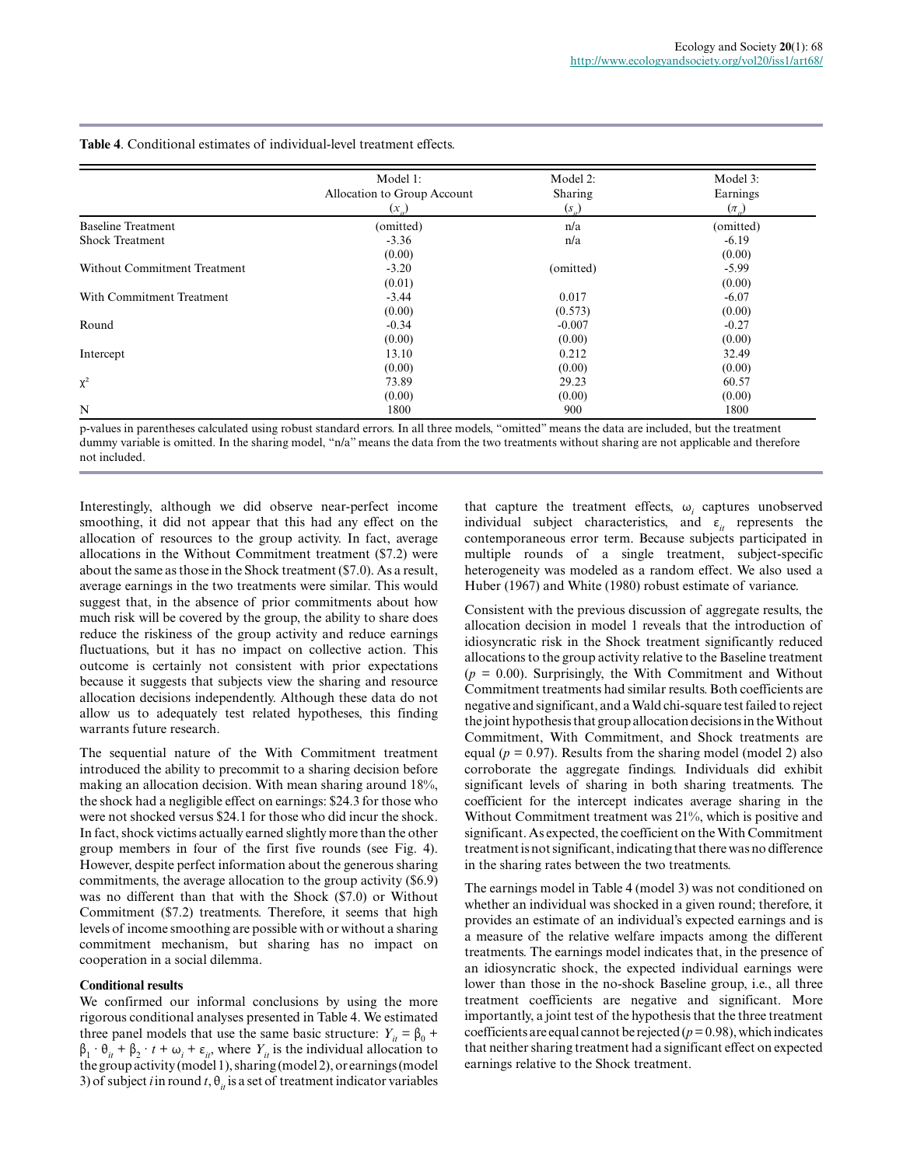|                              | Model 1:                    | Model 2:   | Model 3:     |
|------------------------------|-----------------------------|------------|--------------|
|                              | Allocation to Group Account | Sharing    | Earnings     |
|                              | $(x_{ii})$                  | $(s_{ii})$ | $(\pi_{ii})$ |
| <b>Baseline Treatment</b>    | (omitted)                   | n/a        | (omitted)    |
| <b>Shock Treatment</b>       | $-3.36$                     | n/a        | $-6.19$      |
|                              | (0.00)                      |            | (0.00)       |
| Without Commitment Treatment | $-3.20$                     | (omitted)  | $-5.99$      |
|                              | (0.01)                      |            | (0.00)       |
| With Commitment Treatment    | $-3.44$                     | 0.017      | $-6.07$      |
|                              | (0.00)                      | (0.573)    | (0.00)       |
| Round                        | $-0.34$                     | $-0.007$   | $-0.27$      |
|                              | (0.00)                      | (0.00)     | (0.00)       |
| Intercept                    | 13.10                       | 0.212      | 32.49        |
|                              | (0.00)                      | (0.00)     | (0.00)       |
| $\chi^2$                     | 73.89                       | 29.23      | 60.57        |
|                              | (0.00)                      | (0.00)     | (0.00)       |
| N                            | 1800                        | 900        | 1800         |

p-values in parentheses calculated using robust standard errors. In all three models, "omitted" means the data are included, but the treatment dummy variable is omitted. In the sharing model, "n/a" means the data from the two treatments without sharing are not applicable and therefore not included.

Interestingly, although we did observe near-perfect income smoothing, it did not appear that this had any effect on the allocation of resources to the group activity. In fact, average allocations in the Without Commitment treatment (\$7.2) were about the same as those in the Shock treatment (\$7.0). As a result, average earnings in the two treatments were similar. This would suggest that, in the absence of prior commitments about how much risk will be covered by the group, the ability to share does reduce the riskiness of the group activity and reduce earnings fluctuations, but it has no impact on collective action. This outcome is certainly not consistent with prior expectations because it suggests that subjects view the sharing and resource allocation decisions independently. Although these data do not allow us to adequately test related hypotheses, this finding warrants future research.

The sequential nature of the With Commitment treatment introduced the ability to precommit to a sharing decision before making an allocation decision. With mean sharing around 18%, the shock had a negligible effect on earnings: \$24.3 for those who were not shocked versus \$24.1 for those who did incur the shock. In fact, shock victims actually earned slightly more than the other group members in four of the first five rounds (see Fig. 4). However, despite perfect information about the generous sharing commitments, the average allocation to the group activity (\$6.9) was no different than that with the Shock (\$7.0) or Without Commitment (\$7.2) treatments. Therefore, it seems that high levels of income smoothing are possible with or without a sharing commitment mechanism, but sharing has no impact on cooperation in a social dilemma.

#### **Conditional results**

We confirmed our informal conclusions by using the more rigorous conditional analyses presented in Table 4. We estimated three panel models that use the same basic structure:  $Y_{it} = \beta_0 + \beta_1$  $\beta_1 \cdot \theta_{it} + \beta_2 \cdot t + \omega_i + \varepsilon_{it}$ , where  $Y_{it}$  is the individual allocation to the group activity (model 1), sharing (model 2), or earnings (model 3) of subject *i* in round  $t$ ,  $\theta_i$  is a set of treatment indicator variables

that capture the treatment effects,  $\omega_i$  captures unobserved individual subject characteristics, and  $\varepsilon_{it}$  represents the contemporaneous error term. Because subjects participated in multiple rounds of a single treatment, subject-specific heterogeneity was modeled as a random effect. We also used a Huber (1967) and White (1980) robust estimate of variance.

Consistent with the previous discussion of aggregate results, the allocation decision in model 1 reveals that the introduction of idiosyncratic risk in the Shock treatment significantly reduced allocations to the group activity relative to the Baseline treatment  $(p = 0.00)$ . Surprisingly, the With Commitment and Without Commitment treatments had similar results. Both coefficients are negative and significant, and a Wald chi-square test failed to reject the joint hypothesis that group allocation decisions in the Without Commitment, With Commitment, and Shock treatments are equal ( $p = 0.97$ ). Results from the sharing model (model 2) also corroborate the aggregate findings. Individuals did exhibit significant levels of sharing in both sharing treatments. The coefficient for the intercept indicates average sharing in the Without Commitment treatment was 21%, which is positive and significant. As expected, the coefficient on the With Commitment treatment is not significant, indicating that there was no difference in the sharing rates between the two treatments.

The earnings model in Table 4 (model 3) was not conditioned on whether an individual was shocked in a given round; therefore, it provides an estimate of an individual's expected earnings and is a measure of the relative welfare impacts among the different treatments. The earnings model indicates that, in the presence of an idiosyncratic shock, the expected individual earnings were lower than those in the no-shock Baseline group, i.e., all three treatment coefficients are negative and significant. More importantly, a joint test of the hypothesis that the three treatment coefficients are equal cannot be rejected ( $p = 0.98$ ), which indicates that neither sharing treatment had a significant effect on expected earnings relative to the Shock treatment.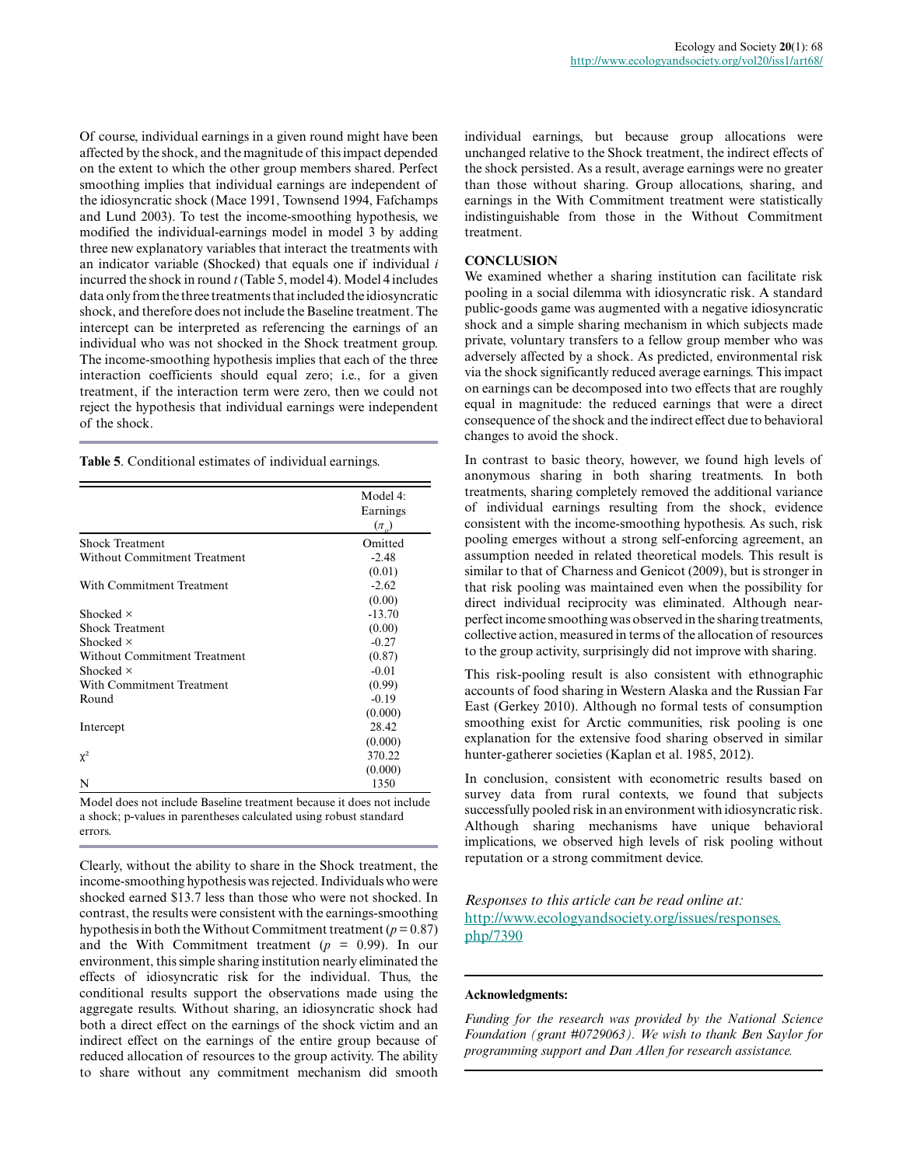Of course, individual earnings in a given round might have been affected by the shock, and the magnitude of this impact depended on the extent to which the other group members shared. Perfect smoothing implies that individual earnings are independent of the idiosyncratic shock (Mace 1991, Townsend 1994, Fafchamps and Lund 2003). To test the income-smoothing hypothesis, we modified the individual-earnings model in model 3 by adding three new explanatory variables that interact the treatments with an indicator variable (Shocked) that equals one if individual *i* incurred the shock in round *t* (Table 5, model 4). Model 4 includes data only from the three treatments that included the idiosyncratic shock, and therefore does not include the Baseline treatment. The intercept can be interpreted as referencing the earnings of an individual who was not shocked in the Shock treatment group. The income-smoothing hypothesis implies that each of the three interaction coefficients should equal zero; i.e., for a given treatment, if the interaction term were zero, then we could not reject the hypothesis that individual earnings were independent of the shock.

**Table 5**. Conditional estimates of individual earnings.

|                                     | Model 4:     |
|-------------------------------------|--------------|
|                                     | Earnings     |
|                                     | $(\pi_{ii})$ |
| <b>Shock Treatment</b>              | Omitted      |
| Without Commitment Treatment        | $-2.48$      |
|                                     | (0.01)       |
| With Commitment Treatment           | $-2.62$      |
|                                     | (0.00)       |
| Shocked $\times$                    | $-13.70$     |
| <b>Shock Treatment</b>              | (0.00)       |
| Shocked $\times$                    | $-0.27$      |
| <b>Without Commitment Treatment</b> | (0.87)       |
| Shocked $\times$                    | $-0.01$      |
| With Commitment Treatment           | (0.99)       |
| Round                               | $-0.19$      |
|                                     | (0.000)      |
| Intercept                           | 28.42        |
|                                     | (0.000)      |
| $\chi^2$                            | 370.22       |
|                                     | (0.000)      |
| N                                   | 1350         |

Model does not include Baseline treatment because it does not include a shock; p-values in parentheses calculated using robust standard errors.

Clearly, without the ability to share in the Shock treatment, the income-smoothing hypothesis was rejected. Individuals who were shocked earned \$13.7 less than those who were not shocked. In contrast, the results were consistent with the earnings-smoothing hypothesis in both the Without Commitment treatment  $(p = 0.87)$ and the With Commitment treatment  $(p = 0.99)$ . In our environment, this simple sharing institution nearly eliminated the effects of idiosyncratic risk for the individual. Thus, the conditional results support the observations made using the aggregate results. Without sharing, an idiosyncratic shock had both a direct effect on the earnings of the shock victim and an indirect effect on the earnings of the entire group because of reduced allocation of resources to the group activity. The ability to share without any commitment mechanism did smooth

individual earnings, but because group allocations were unchanged relative to the Shock treatment, the indirect effects of the shock persisted. As a result, average earnings were no greater than those without sharing. Group allocations, sharing, and earnings in the With Commitment treatment were statistically indistinguishable from those in the Without Commitment treatment.

# **CONCLUSION**

We examined whether a sharing institution can facilitate risk pooling in a social dilemma with idiosyncratic risk. A standard public-goods game was augmented with a negative idiosyncratic shock and a simple sharing mechanism in which subjects made private, voluntary transfers to a fellow group member who was adversely affected by a shock. As predicted, environmental risk via the shock significantly reduced average earnings. This impact on earnings can be decomposed into two effects that are roughly equal in magnitude: the reduced earnings that were a direct consequence of the shock and the indirect effect due to behavioral changes to avoid the shock.

In contrast to basic theory, however, we found high levels of anonymous sharing in both sharing treatments. In both treatments, sharing completely removed the additional variance of individual earnings resulting from the shock, evidence consistent with the income-smoothing hypothesis. As such, risk pooling emerges without a strong self-enforcing agreement, an assumption needed in related theoretical models. This result is similar to that of Charness and Genicot (2009), but is stronger in that risk pooling was maintained even when the possibility for direct individual reciprocity was eliminated. Although nearperfect income smoothing was observed in the sharing treatments, collective action, measured in terms of the allocation of resources to the group activity, surprisingly did not improve with sharing.

This risk-pooling result is also consistent with ethnographic accounts of food sharing in Western Alaska and the Russian Far East (Gerkey 2010). Although no formal tests of consumption smoothing exist for Arctic communities, risk pooling is one explanation for the extensive food sharing observed in similar hunter-gatherer societies (Kaplan et al. 1985, 2012).

In conclusion, consistent with econometric results based on survey data from rural contexts, we found that subjects successfully pooled risk in an environment with idiosyncratic risk. Although sharing mechanisms have unique behavioral implications, we observed high levels of risk pooling without reputation or a strong commitment device.

*Responses to this article can be read online at:* [http://www.ecologyandsociety.org/issues/responses.](http://www.ecologyandsociety.org/issues/responses.php/7390) [php/7390](http://www.ecologyandsociety.org/issues/responses.php/7390)

# **Acknowledgments:**

*Funding for the research was provided by the National Science Foundation (grant #0729063). We wish to thank Ben Saylor for programming support and Dan Allen for research assistance.*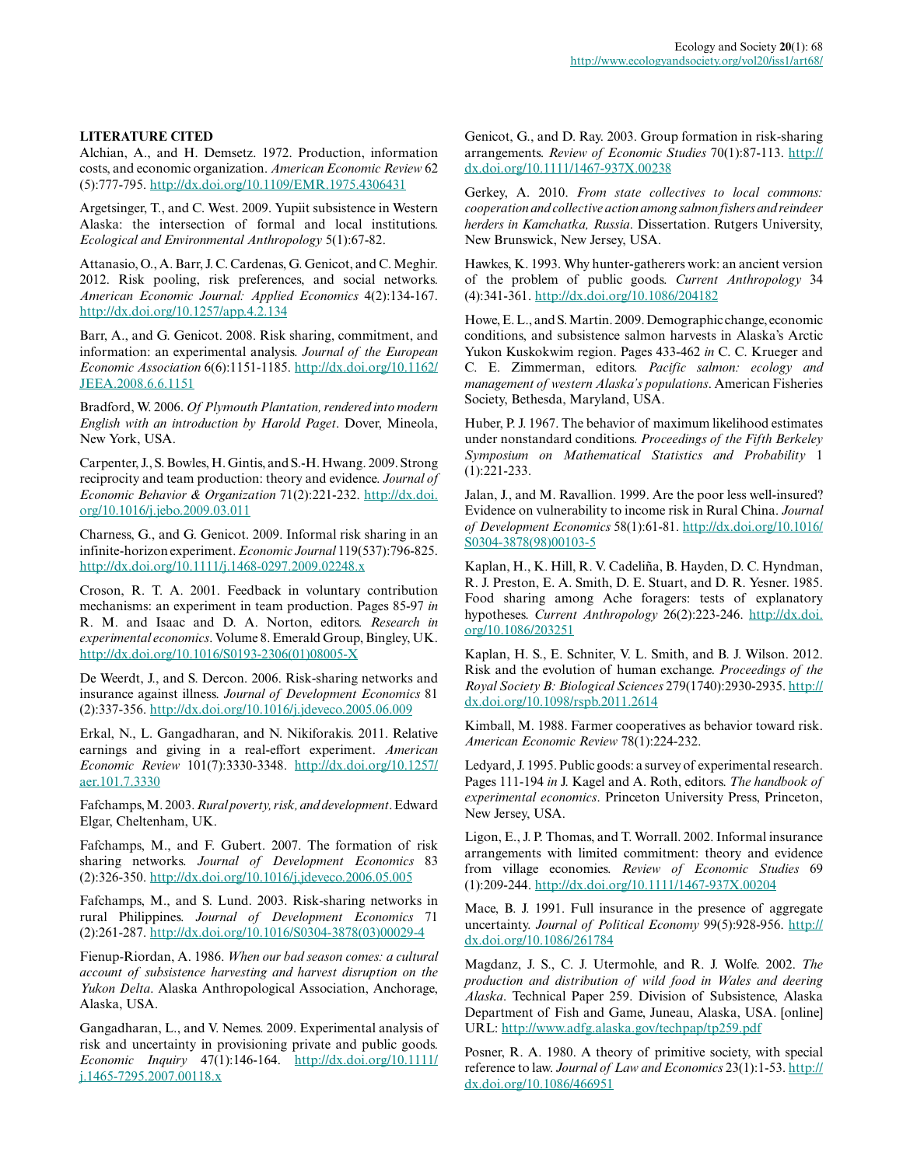# **LITERATURE CITED**

Alchian, A., and H. Demsetz. 1972. Production, information costs, and economic organization. *American Economic Review* 62 (5):777-795. [http://dx.doi.org/10.1109/EMR.1975.4306431](http://dx.doi.org/10.1109%2FEMR.1975.4306431)

Argetsinger, T., and C. West. 2009. Yupiit subsistence in Western Alaska: the intersection of formal and local institutions. *Ecological and Environmental Anthropology* 5(1):67-82.

Attanasio, O., A. Barr, J. C. Cardenas, G. Genicot, and C. Meghir. 2012. Risk pooling, risk preferences, and social networks. *American Economic Journal: Applied Economics* 4(2):134-167. [http://dx.doi.org/10.1257/app.4.2.134](http://dx.doi.org/10.1257%2Fapp.4.2.134) 

Barr, A., and G. Genicot. 2008. Risk sharing, commitment, and information: an experimental analysis. *Journal of the European Economic Association* 6(6):1151-1185. [http://dx.doi.org/10.1162/](http://dx.doi.org/10.1162%2FJEEA.2008.6.6.1151) [JEEA.2008.6.6.1151](http://dx.doi.org/10.1162%2FJEEA.2008.6.6.1151) 

Bradford, W. 2006. *Of Plymouth Plantation, rendered into modern English with an introduction by Harold Paget*. Dover, Mineola, New York, USA.

Carpenter, J., S. Bowles, H. Gintis, and S.-H. Hwang. 2009. Strong reciprocity and team production: theory and evidence. *Journal of Economic Behavior & Organization* 71(2):221-232. [http://dx.doi.](http://dx.doi.org/10.1016%2Fj.jebo.2009.03.011) [org/10.1016/j.jebo.2009.03.011](http://dx.doi.org/10.1016%2Fj.jebo.2009.03.011) 

Charness, G., and G. Genicot. 2009. Informal risk sharing in an infinite-horizon experiment. *Economic Journal* 119(537):796-825. [http://dx.doi.org/10.1111/j.1468-0297.2009.02248.x](http://dx.doi.org/10.1111%2Fj.1468-0297.2009.02248.x) 

Croson, R. T. A. 2001. Feedback in voluntary contribution mechanisms: an experiment in team production. Pages 85-97 *in* R. M. and Isaac and D. A. Norton, editors. *Research in experimental economics*. Volume 8. Emerald Group, Bingley, UK. [http://dx.doi.org/10.1016/S0193-2306\(01\)08005-X](http://dx.doi.org/10.1016%2FS0193-2306%2801%2908005-X) 

De Weerdt, J., and S. Dercon. 2006. Risk-sharing networks and insurance against illness. *Journal of Development Economics* 81 (2):337-356. [http://dx.doi.org/10.1016/j.jdeveco.2005.06.009](http://dx.doi.org/10.1016%2Fj.jdeveco.2005.06.009) 

Erkal, N., L. Gangadharan, and N. Nikiforakis. 2011. Relative earnings and giving in a real-effort experiment. *American Economic Review* 101(7):3330-3348. [http://dx.doi.org/10.1257/](http://dx.doi.org/10.1257%2Faer.101.7.3330) [aer.101.7.3330](http://dx.doi.org/10.1257%2Faer.101.7.3330) 

Fafchamps, M. 2003. *Rural poverty, risk, and development*. Edward Elgar, Cheltenham, UK.

Fafchamps, M., and F. Gubert. 2007. The formation of risk sharing networks. *Journal of Development Economics* 83 (2):326-350. [http://dx.doi.org/10.1016/j.jdeveco.2006.05.005](http://dx.doi.org/10.1016%2Fj.jdeveco.2006.05.005) 

Fafchamps, M., and S. Lund. 2003. Risk-sharing networks in rural Philippines. *Journal of Development Economics* 71 (2):261-287. [http://dx.doi.org/10.1016/S0304-3878\(03\)00029-4](http://dx.doi.org/10.1016%2FS0304-3878%2803%2900029-4) 

Fienup-Riordan, A. 1986. *When our bad season comes: a cultural account of subsistence harvesting and harvest disruption on the Yukon Delta*. Alaska Anthropological Association, Anchorage, Alaska, USA.

Gangadharan, L., and V. Nemes. 2009. Experimental analysis of risk and uncertainty in provisioning private and public goods. *Economic Inquiry* 47(1):146-164. [http://dx.doi.org/10.1111/](http://dx.doi.org/10.1111%2Fj.1465-7295.2007.00118.x) [j.1465-7295.2007.00118.x](http://dx.doi.org/10.1111%2Fj.1465-7295.2007.00118.x)

Genicot, G., and D. Ray. 2003. Group formation in risk-sharing arrangements. *Review of Economic Studies* 70(1):87-113. [http://](http://dx.doi.org/10.1111%2F1467-937X.00238) [dx.doi.org/10.1111/1467-937X.00238](http://dx.doi.org/10.1111%2F1467-937X.00238)

Gerkey, A. 2010. *From state collectives to local commons: cooperation and collective action among salmon fishers and reindeer herders in Kamchatka, Russia*. Dissertation. Rutgers University, New Brunswick, New Jersey, USA.

Hawkes, K. 1993. Why hunter-gatherers work: an ancient version of the problem of public goods. *Current Anthropology* 34 (4):341-361. [http://dx.doi.org/10.1086/204182](http://dx.doi.org/10.1086%2F204182) 

Howe, E. L., and S. Martin. 2009. Demographic change, economic conditions, and subsistence salmon harvests in Alaska's Arctic Yukon Kuskokwim region. Pages 433-462 *in* C. C. Krueger and C. E. Zimmerman, editors. *Pacific salmon: ecology and management of western Alaska's populations*. American Fisheries Society, Bethesda, Maryland, USA.

Huber, P. J. 1967. The behavior of maximum likelihood estimates under nonstandard conditions. *Proceedings of the Fifth Berkeley Symposium on Mathematical Statistics and Probability* 1 (1):221-233.

Jalan, J., and M. Ravallion. 1999. Are the poor less well-insured? Evidence on vulnerability to income risk in Rural China. *Journal of Development Economics* 58(1):61-81. [http://dx.doi.org/10.1016/](http://dx.doi.org/10.1016%2FS0304-3878%2898%2900103-5) [S0304-3878\(98\)00103-5](http://dx.doi.org/10.1016%2FS0304-3878%2898%2900103-5) 

Kaplan, H., K. Hill, R. V. Cadeliña, B. Hayden, D. C. Hyndman, R. J. Preston, E. A. Smith, D. E. Stuart, and D. R. Yesner. 1985. Food sharing among Ache foragers: tests of explanatory hypotheses. *Current Anthropology* 26(2):223-246. [http://dx.doi.](http://dx.doi.org/10.1086%2F203251) [org/10.1086/203251](http://dx.doi.org/10.1086%2F203251)

Kaplan, H. S., E. Schniter, V. L. Smith, and B. J. Wilson. 2012. Risk and the evolution of human exchange. *Proceedings of the Royal Society B: Biological Sciences* 279(1740):2930-2935. [http://](http://dx.doi.org/10.1098%2Frspb.2011.2614) [dx.doi.org/10.1098/rspb.2011.2614](http://dx.doi.org/10.1098%2Frspb.2011.2614)

Kimball, M. 1988. Farmer cooperatives as behavior toward risk. *American Economic Review* 78(1):224-232.

Ledyard, J. 1995. Public goods: a survey of experimental research. Pages 111-194 *in* J. Kagel and A. Roth, editors. *The handbook of experimental economics*. Princeton University Press, Princeton, New Jersey, USA.

Ligon, E., J. P. Thomas, and T. Worrall. 2002. Informal insurance arrangements with limited commitment: theory and evidence from village economies. *Review of Economic Studies* 69 (1):209-244. [http://dx.doi.org/10.1111/1467-937X.00204](http://dx.doi.org/10.1111%2F1467-937X.00204)

Mace, B. J. 1991. Full insurance in the presence of aggregate uncertainty. *Journal of Political Economy* 99(5):928-956. [http://](http://dx.doi.org/10.1086%2F261784) [dx.doi.org/10.1086/261784](http://dx.doi.org/10.1086%2F261784) 

Magdanz, J. S., C. J. Utermohle, and R. J. Wolfe. 2002. *The production and distribution of wild food in Wales and deering Alaska*. Technical Paper 259. Division of Subsistence, Alaska Department of Fish and Game, Juneau, Alaska, USA. [online] URL:<http://www.adfg.alaska.gov/techpap/tp259.pdf>

Posner, R. A. 1980. A theory of primitive society, with special reference to law. *Journal of Law and Economics* 23(1):1-53. [http://](http://dx.doi.org/10.1086%2F466951) [dx.doi.org/10.1086/466951](http://dx.doi.org/10.1086%2F466951)